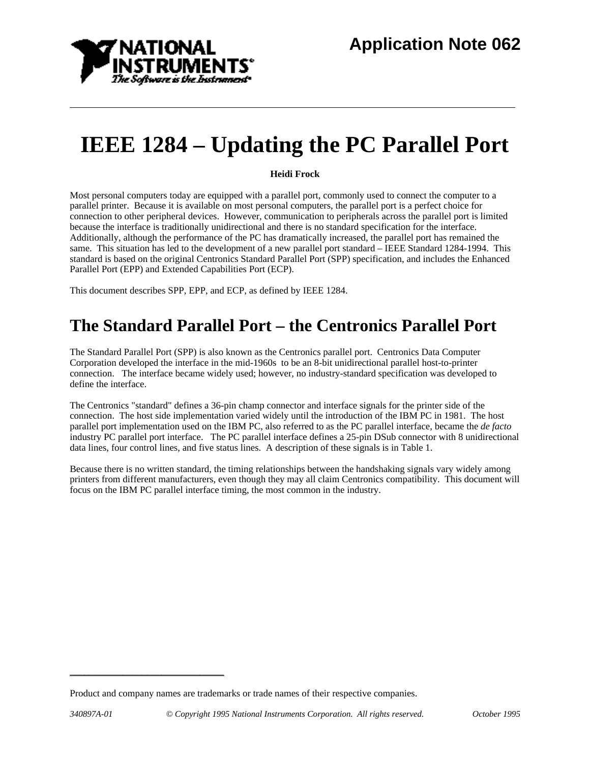

# **IEEE 1284 – Updating the PC Parallel Port**

**Heidi Frock**

Most personal computers today are equipped with a parallel port, commonly used to connect the computer to a parallel printer. Because it is available on most personal computers, the parallel port is a perfect choice for connection to other peripheral devices. However, communication to peripherals across the parallel port is limited because the interface is traditionally unidirectional and there is no standard specification for the interface. Additionally, although the performance of the PC has dramatically increased, the parallel port has remained the same. This situation has led to the development of a new parallel port standard – IEEE Standard 1284-1994. This standard is based on the original Centronics Standard Parallel Port (SPP) specification, and includes the Enhanced Parallel Port (EPP) and Extended Capabilities Port (ECP).

This document describes SPP, EPP, and ECP, as defined by IEEE 1284.

### **The Standard Parallel Port – the Centronics Parallel Port**

The Standard Parallel Port (SPP) is also known as the Centronics parallel port. Centronics Data Computer Corporation developed the interface in the mid-1960s to be an 8-bit unidirectional parallel host-to-printer connection. The interface became widely used; however, no industry-standard specification was developed to define the interface.

The Centronics "standard" defines a 36-pin champ connector and interface signals for the printer side of the connection. The host side implementation varied widely until the introduction of the IBM PC in 1981. The host parallel port implementation used on the IBM PC, also referred to as the PC parallel interface, became the *de facto* industry PC parallel port interface. The PC parallel interface defines a 25-pin DSub connector with 8 unidirectional data lines, four control lines, and five status lines. A description of these signals is in Table 1.

Because there is no written standard, the timing relationships between the handshaking signals vary widely among printers from different manufacturers, even though they may all claim Centronics compatibility. This document will focus on the IBM PC parallel interface timing, the most common in the industry.

 *\_\_\_\_\_\_\_\_\_\_\_\_\_\_\_\_\_\_\_\_\_\_\_\_\_\_\_\_\_\_\_\_* 

Product and company names are trademarks or trade names of their respective companies.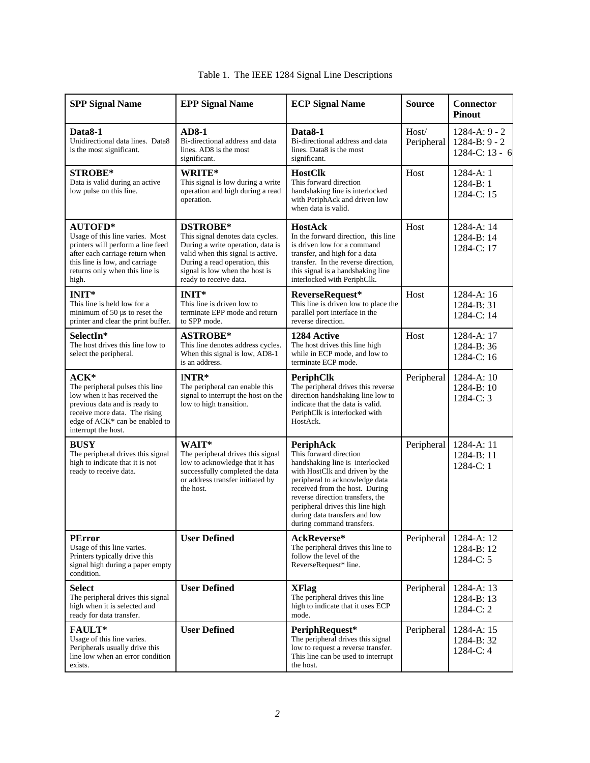| <b>SPP Signal Name</b>                                                                                                                                                                                 | <b>EPP Signal Name</b>                                                                                                                                                                                                     | <b>ECP Signal Name</b>                                                                                                                                                                                                                                                                                             | <b>Source</b>       | <b>Connector</b><br><b>Pinout</b>                       |
|--------------------------------------------------------------------------------------------------------------------------------------------------------------------------------------------------------|----------------------------------------------------------------------------------------------------------------------------------------------------------------------------------------------------------------------------|--------------------------------------------------------------------------------------------------------------------------------------------------------------------------------------------------------------------------------------------------------------------------------------------------------------------|---------------------|---------------------------------------------------------|
| Data <sub>8-1</sub><br>Unidirectional data lines. Data8<br>is the most significant.                                                                                                                    | <b>AD8-1</b><br>Bi-directional address and data<br>lines. AD8 is the most<br>significant.                                                                                                                                  | Data8-1<br>Bi-directional address and data<br>lines. Data8 is the most<br>significant.                                                                                                                                                                                                                             | Host/<br>Peripheral | $1284-A:9 - 2$<br>$1284 - B: 9 - 2$<br>1284-C: $13 - 6$ |
| STROBE*<br>Data is valid during an active<br>low pulse on this line.                                                                                                                                   | WRITE*<br>This signal is low during a write<br>operation and high during a read<br>operation.                                                                                                                              | <b>HostClk</b><br>This forward direction<br>handshaking line is interlocked<br>with PeriphAck and driven low<br>when data is valid.                                                                                                                                                                                | Host                | 1284-A: 1<br>$1284 - B: 1$<br>1284-C: 15                |
| <b>AUTOFD*</b><br>Usage of this line varies. Most<br>printers will perform a line feed<br>after each carriage return when<br>this line is low, and carriage<br>returns only when this line is<br>high. | <b>DSTROBE*</b><br>This signal denotes data cycles.<br>During a write operation, data is<br>valid when this signal is active.<br>During a read operation, this<br>signal is low when the host is<br>ready to receive data. | <b>HostAck</b><br>In the forward direction, this line<br>is driven low for a command<br>transfer, and high for a data<br>transfer. In the reverse direction,<br>this signal is a handshaking line<br>interlocked with PeriphClk.                                                                                   | Host                | 1284-A: 14<br>1284-B: 14<br>1284-C: 17                  |
| <b>INIT*</b><br>This line is held low for a<br>minimum of 50 µs to reset the<br>printer and clear the print buffer.                                                                                    | <b>INIT*</b><br>This line is driven low to<br>terminate EPP mode and return<br>to SPP mode.                                                                                                                                | ReverseRequest*<br>This line is driven low to place the<br>parallel port interface in the<br>reverse direction.                                                                                                                                                                                                    | Host                | 1284-A: 16<br>1284-B: 31<br>1284-C: 14                  |
| SelectIn*<br>The host drives this line low to<br>select the peripheral.                                                                                                                                | <b>ASTROBE*</b><br>This line denotes address cycles.<br>When this signal is low, AD8-1<br>is an address.                                                                                                                   | 1284 Active<br>The host drives this line high<br>while in ECP mode, and low to<br>terminate ECP mode.                                                                                                                                                                                                              | Host                | 1284-A: 17<br>1284-B: 36<br>1284-C: 16                  |
| $ACK*$<br>The peripheral pulses this line<br>low when it has received the<br>previous data and is ready to<br>receive more data. The rising<br>edge of ACK* can be enabled to<br>interrupt the host.   | $INTR*$<br>The peripheral can enable this<br>signal to interrupt the host on the<br>low to high transition.                                                                                                                | <b>PeriphClk</b><br>The peripheral drives this reverse<br>direction handshaking line low to<br>indicate that the data is valid.<br>PeriphClk is interlocked with<br>HostAck.                                                                                                                                       | Peripheral          | 1284-A: 10<br>1284-B: 10<br>1284-C: 3                   |
| <b>BUSY</b><br>The peripheral drives this signal<br>high to indicate that it is not<br>ready to receive data.                                                                                          | WAIT*<br>The peripheral drives this signal<br>low to acknowledge that it has<br>successfully completed the data<br>or address transfer initiated by<br>the host.                                                           | PeriphAck<br>This forward direction<br>handshaking line is interlocked<br>with HostClk and driven by the<br>peripheral to acknowledge data<br>received from the host. During<br>reverse direction transfers, the<br>peripheral drives this line high<br>during data transfers and low<br>during command transfers. | Peripheral          | 1284-A: 11<br>1284-B: 11<br>1284-C: 1                   |
| <b>PError</b><br>Usage of this line varies.<br>Printers typically drive this<br>signal high during a paper empty<br>condition.                                                                         | <b>User Defined</b>                                                                                                                                                                                                        | AckReverse*<br>The peripheral drives this line to<br>follow the level of the<br>ReverseRequest* line.                                                                                                                                                                                                              | Peripheral          | 1284-A: 12<br>1284-B: 12<br>1284-C: 5                   |
| <b>Select</b><br>The peripheral drives this signal<br>high when it is selected and<br>ready for data transfer.                                                                                         | <b>User Defined</b>                                                                                                                                                                                                        | <b>XFlag</b><br>The peripheral drives this line<br>high to indicate that it uses ECP<br>mode.                                                                                                                                                                                                                      | Peripheral          | 1284-A: 13<br>1284-B: 13<br>1284-C: 2                   |
| FAULT*<br>Usage of this line varies.<br>Peripherals usually drive this<br>line low when an error condition<br>exists.                                                                                  | <b>User Defined</b>                                                                                                                                                                                                        | PeriphRequest*<br>The peripheral drives this signal<br>low to request a reverse transfer.<br>This line can be used to interrupt<br>the host.                                                                                                                                                                       | Peripheral          | 1284-A: 15<br>1284-B: 32<br>1284-C: 4                   |

#### Table 1. The IEEE 1284 Signal Line Descriptions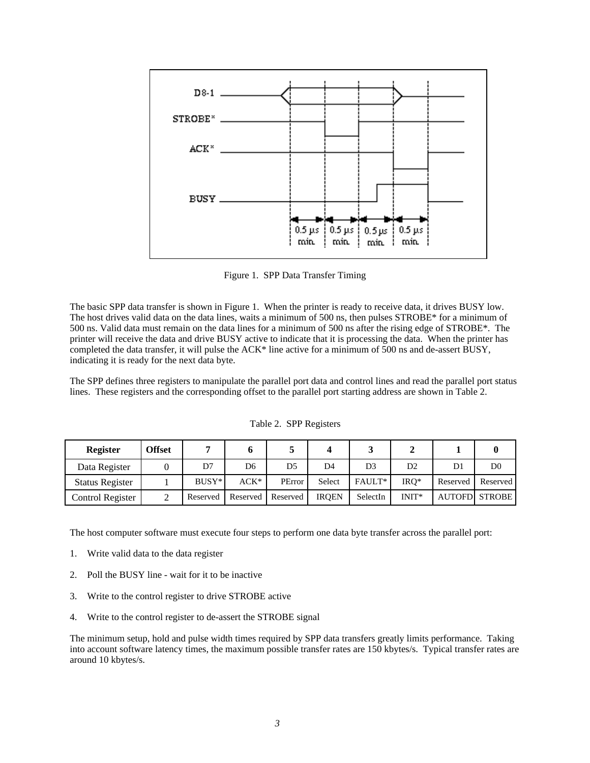

Figure 1. SPP Data Transfer Timing

The basic SPP data transfer is shown in Figure 1. When the printer is ready to receive data, it drives BUSY low. The host drives valid data on the data lines, waits a minimum of 500 ns, then pulses STROBE\* for a minimum of 500 ns. Valid data must remain on the data lines for a minimum of 500 ns after the rising edge of STROBE\*. The printer will receive the data and drive BUSY active to indicate that it is processing the data. When the printer has completed the data transfer, it will pulse the ACK\* line active for a minimum of 500 ns and de-assert BUSY, indicating it is ready for the next data byte.

The SPP defines three registers to manipulate the parallel port data and control lines and read the parallel port status lines. These registers and the corresponding offset to the parallel port starting address are shown in Table 2.

| <b>Register</b>        | <b>Offset</b> |          |          |          |              |                |                |          |                       |
|------------------------|---------------|----------|----------|----------|--------------|----------------|----------------|----------|-----------------------|
| Data Register          |               | D7       | D6       | D5       | D4           | D <sub>3</sub> | D <sub>2</sub> | D1       | D0                    |
| <b>Status Register</b> |               | $BUSY^*$ | ACK*     | PError   | Select       | FAULT*         | $_{\rm IRO^*}$ | Reserved | Reserved              |
| Control Register       |               | Reserved | Reserved | Reserved | <b>IROEN</b> | SelectIn       | $INT*$         |          | <b>AUTOFDI STROBE</b> |

Table 2. SPP Registers

The host computer software must execute four steps to perform one data byte transfer across the parallel port:

- 1. Write valid data to the data register
- 2. Poll the BUSY line wait for it to be inactive
- 3. Write to the control register to drive STROBE active
- 4. Write to the control register to de-assert the STROBE signal

The minimum setup, hold and pulse width times required by SPP data transfers greatly limits performance. Taking into account software latency times, the maximum possible transfer rates are 150 kbytes/s. Typical transfer rates are around 10 kbytes/s.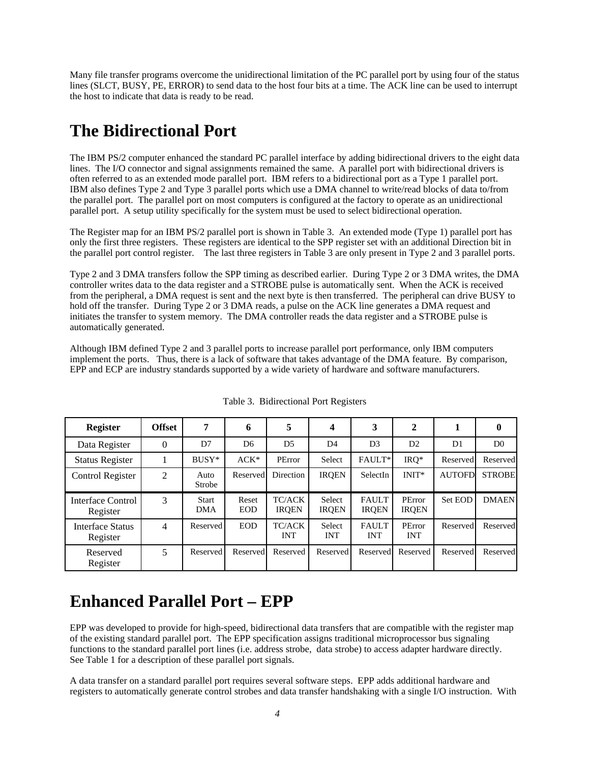Many file transfer programs overcome the unidirectional limitation of the PC parallel port by using four of the status lines (SLCT, BUSY, PE, ERROR) to send data to the host four bits at a time. The ACK line can be used to interrupt the host to indicate that data is ready to be read.

### **The Bidirectional Port**

The IBM PS/2 computer enhanced the standard PC parallel interface by adding bidirectional drivers to the eight data lines. The I/O connector and signal assignments remained the same. A parallel port with bidirectional drivers is often referred to as an extended mode parallel port. IBM refers to a bidirectional port as a Type 1 parallel port. IBM also defines Type 2 and Type 3 parallel ports which use a DMA channel to write/read blocks of data to/from the parallel port. The parallel port on most computers is configured at the factory to operate as an unidirectional parallel port. A setup utility specifically for the system must be used to select bidirectional operation.

The Register map for an IBM PS/2 parallel port is shown in Table 3. An extended mode (Type 1) parallel port has only the first three registers. These registers are identical to the SPP register set with an additional Direction bit in the parallel port control register. The last three registers in Table 3 are only present in Type 2 and 3 parallel ports.

Type 2 and 3 DMA transfers follow the SPP timing as described earlier. During Type 2 or 3 DMA writes, the DMA controller writes data to the data register and a STROBE pulse is automatically sent. When the ACK is received from the peripheral, a DMA request is sent and the next byte is then transferred. The peripheral can drive BUSY to hold off the transfer. During Type 2 or 3 DMA reads, a pulse on the ACK line generates a DMA request and initiates the transfer to system memory. The DMA controller reads the data register and a STROBE pulse is automatically generated.

Although IBM defined Type 2 and 3 parallel ports to increase parallel port performance, only IBM computers implement the ports. Thus, there is a lack of software that takes advantage of the DMA feature. By comparison, EPP and ECP are industry standards supported by a wide variety of hardware and software manufacturers.

| <b>Register</b>               | <b>Offset</b> | 7                   | 6                   | 5                           | 4                      | 3                            | $\mathbf{2}$           |                | $\bf{0}$       |
|-------------------------------|---------------|---------------------|---------------------|-----------------------------|------------------------|------------------------------|------------------------|----------------|----------------|
| Data Register                 | 0             | D7                  | D <sub>6</sub>      | D <sub>5</sub>              | D <sub>4</sub>         | D <sub>3</sub>               | D <sub>2</sub>         | D <sub>1</sub> | D <sub>0</sub> |
| <b>Status Register</b>        |               | BUSY*               | $ACK^*$             | PError                      | Select                 | FAULT*                       | $IRQ*$                 | Reserved       | Reserved       |
| Control Register              | 2             | Auto<br>Strobe      | Reserved            | Direction                   | <b>IRQEN</b>           | SelectIn                     | $INT*$                 | <b>AUTOFD</b>  | <b>STROBE</b>  |
| Interface Control<br>Register | 3             | Start<br><b>DMA</b> | Reset<br><b>EOD</b> | TC/ACK<br><b>IRQEN</b>      | Select<br><b>IRQEN</b> | <b>FAULT</b><br><b>IRQEN</b> | PError<br><b>IRQEN</b> | Set EOD        | <b>DMAEN</b>   |
| Interface Status<br>Register  | 4             | Reserved            | <b>EOD</b>          | <b>TC/ACK</b><br><b>INT</b> | Select<br><b>INT</b>   | <b>FAULT</b><br><b>INT</b>   | PError<br><b>INT</b>   | Reserved       | Reserved       |
| Reserved<br>Register          | 5             | Reserved            | Reserved            | Reserved                    | Reserved               | Reserved                     | Reserved               | Reserved       | Reserved       |

Table 3. Bidirectional Port Registers

### **Enhanced Parallel Port – EPP**

EPP was developed to provide for high-speed, bidirectional data transfers that are compatible with the register map of the existing standard parallel port. The EPP specification assigns traditional microprocessor bus signaling functions to the standard parallel port lines (i.e. address strobe, data strobe) to access adapter hardware directly. See Table 1 for a description of these parallel port signals.

A data transfer on a standard parallel port requires several software steps. EPP adds additional hardware and registers to automatically generate control strobes and data transfer handshaking with a single I/O instruction. With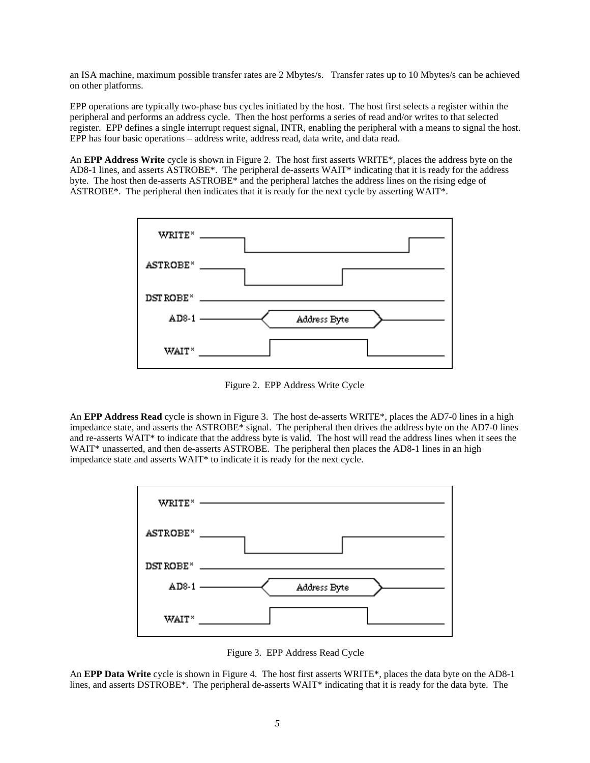an ISA machine, maximum possible transfer rates are 2 Mbytes/s. Transfer rates up to 10 Mbytes/s can be achieved on other platforms.

EPP operations are typically two-phase bus cycles initiated by the host. The host first selects a register within the peripheral and performs an address cycle. Then the host performs a series of read and/or writes to that selected register. EPP defines a single interrupt request signal, INTR, enabling the peripheral with a means to signal the host. EPP has four basic operations – address write, address read, data write, and data read.

An **EPP Address Write** cycle is shown in Figure 2. The host first asserts WRITE\*, places the address byte on the AD8-1 lines, and asserts ASTROBE\*. The peripheral de-asserts WAIT\* indicating that it is ready for the address byte. The host then de-asserts ASTROBE\* and the peripheral latches the address lines on the rising edge of ASTROBE\*. The peripheral then indicates that it is ready for the next cycle by asserting WAIT\*.



Figure 2. EPP Address Write Cycle

An **EPP Address Read** cycle is shown in Figure 3. The host de-asserts WRITE\*, places the AD7-0 lines in a high impedance state, and asserts the ASTROBE\* signal. The peripheral then drives the address byte on the AD7-0 lines and re-asserts WAIT\* to indicate that the address byte is valid. The host will read the address lines when it sees the WAIT<sup>\*</sup> unasserted, and then de-asserts ASTROBE. The peripheral then places the AD8-1 lines in an high impedance state and asserts WAIT\* to indicate it is ready for the next cycle.



Figure 3. EPP Address Read Cycle

An **EPP Data Write** cycle is shown in Figure 4. The host first asserts WRITE\*, places the data byte on the AD8-1 lines, and asserts DSTROBE<sup>\*</sup>. The peripheral de-asserts WAIT<sup>\*</sup> indicating that it is ready for the data byte. The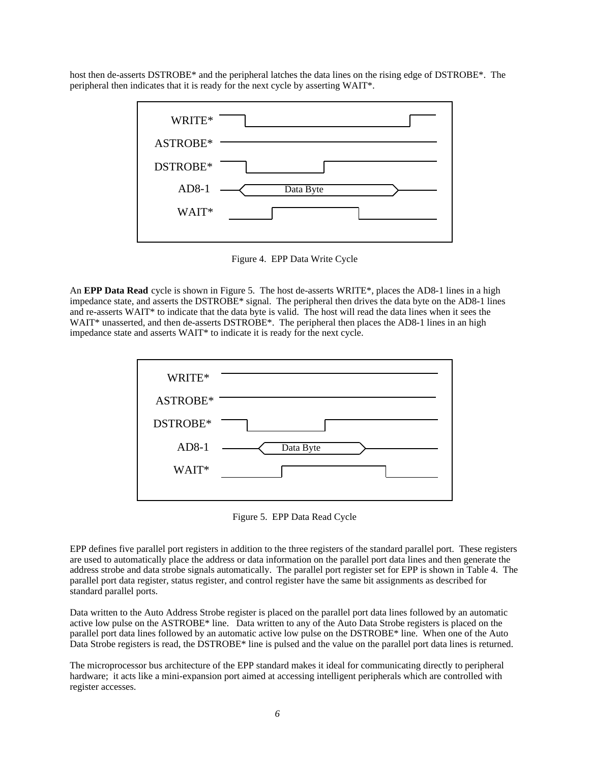host then de-asserts DSTROBE\* and the peripheral latches the data lines on the rising edge of DSTROBE\*. The peripheral then indicates that it is ready for the next cycle by asserting WAIT\*.



Figure 4. EPP Data Write Cycle

An **EPP Data Read** cycle is shown in Figure 5. The host de-asserts WRITE\*, places the AD8-1 lines in a high impedance state, and asserts the DSTROBE\* signal. The peripheral then drives the data byte on the AD8-1 lines and re-asserts WAIT\* to indicate that the data byte is valid. The host will read the data lines when it sees the WAIT\* unasserted, and then de-asserts DSTROBE\*. The peripheral then places the AD8-1 lines in an high impedance state and asserts WAIT\* to indicate it is ready for the next cycle.



Figure 5. EPP Data Read Cycle

EPP defines five parallel port registers in addition to the three registers of the standard parallel port. These registers are used to automatically place the address or data information on the parallel port data lines and then generate the address strobe and data strobe signals automatically. The parallel port register set for EPP is shown in Table 4. The parallel port data register, status register, and control register have the same bit assignments as described for standard parallel ports.

Data written to the Auto Address Strobe register is placed on the parallel port data lines followed by an automatic active low pulse on the ASTROBE\* line. Data written to any of the Auto Data Strobe registers is placed on the parallel port data lines followed by an automatic active low pulse on the DSTROBE\* line. When one of the Auto Data Strobe registers is read, the DSTROBE\* line is pulsed and the value on the parallel port data lines is returned.

The microprocessor bus architecture of the EPP standard makes it ideal for communicating directly to peripheral hardware; it acts like a mini-expansion port aimed at accessing intelligent peripherals which are controlled with register accesses.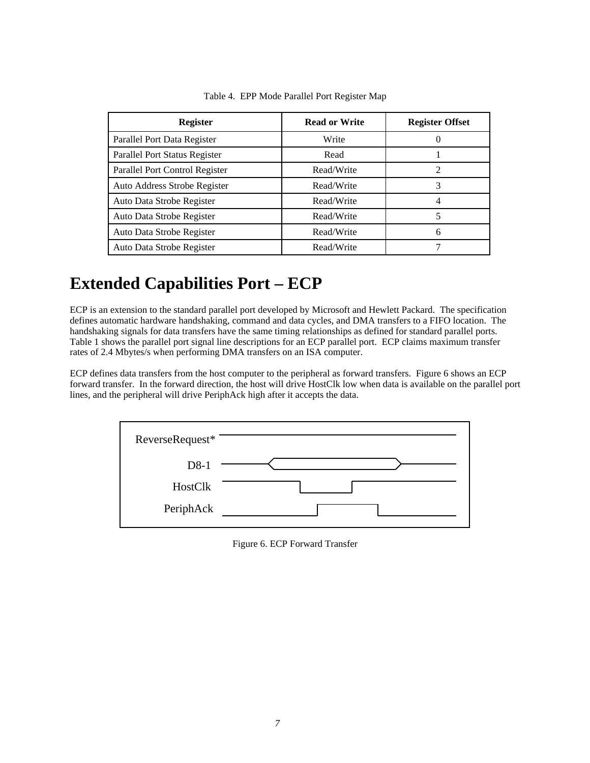| <b>Register</b>                | <b>Read or Write</b> | <b>Register Offset</b> |
|--------------------------------|----------------------|------------------------|
| Parallel Port Data Register    | Write                |                        |
| Parallel Port Status Register  | Read                 |                        |
| Parallel Port Control Register | Read/Write           | 2                      |
| Auto Address Strobe Register   | Read/Write           |                        |
| Auto Data Strobe Register      | Read/Write           |                        |
| Auto Data Strobe Register      | Read/Write           |                        |
| Auto Data Strobe Register      | Read/Write           | 6                      |
| Auto Data Strobe Register      | Read/Write           |                        |

Table 4. EPP Mode Parallel Port Register Map

## **Extended Capabilities Port – ECP**

ECP is an extension to the standard parallel port developed by Microsoft and Hewlett Packard. The specification defines automatic hardware handshaking, command and data cycles, and DMA transfers to a FIFO location. The handshaking signals for data transfers have the same timing relationships as defined for standard parallel ports. Table 1 shows the parallel port signal line descriptions for an ECP parallel port. ECP claims maximum transfer rates of 2.4 Mbytes/s when performing DMA transfers on an ISA computer.

ECP defines data transfers from the host computer to the peripheral as forward transfers. Figure 6 shows an ECP forward transfer. In the forward direction, the host will drive HostClk low when data is available on the parallel port lines, and the peripheral will drive PeriphAck high after it accepts the data.

| ReverseRequest* |  |
|-----------------|--|
| $D8-1$          |  |
| HostClk         |  |
| PeriphAck       |  |
|                 |  |

Figure 6. ECP Forward Transfer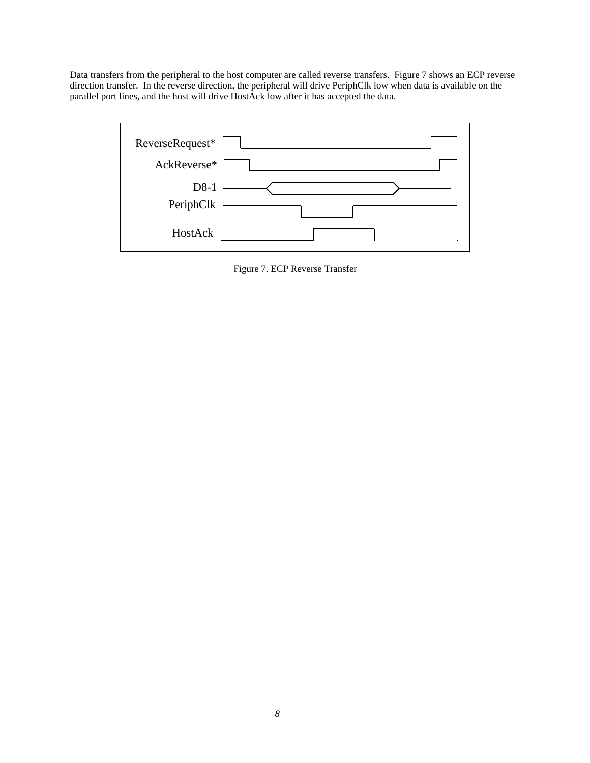Data transfers from the peripheral to the host computer are called reverse transfers. Figure 7 shows an ECP reverse direction transfer. In the reverse direction, the peripheral will drive PeriphClk low when data is available on the parallel port lines, and the host will drive HostAck low after it has accepted the data.



Figure 7. ECP Reverse Transfer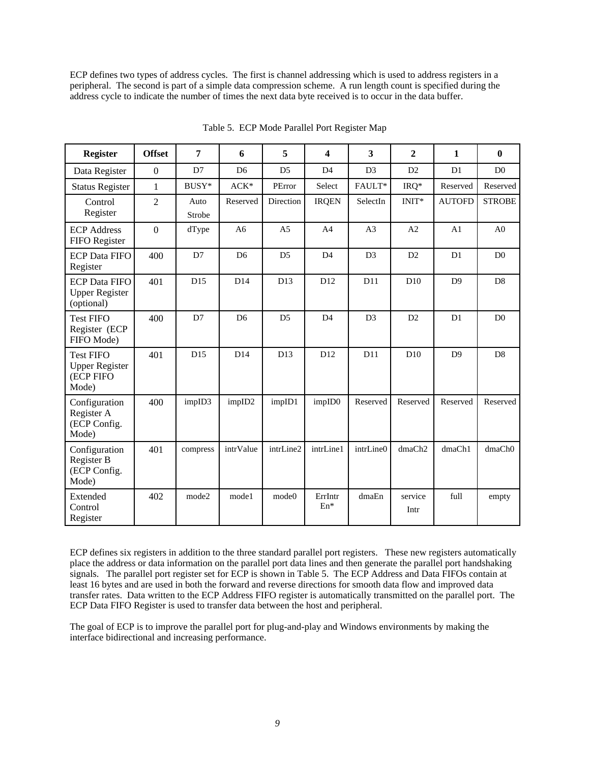ECP defines two types of address cycles. The first is channel addressing which is used to address registers in a peripheral. The second is part of a simple data compression scheme. A run length count is specified during the address cycle to indicate the number of times the next data byte received is to occur in the data buffer.

| <b>Register</b>                                                 | <b>Offset</b>    | 7              | 6              | 5              | 4                | 3              | $\overline{2}$  | 1              | $\bf{0}$       |
|-----------------------------------------------------------------|------------------|----------------|----------------|----------------|------------------|----------------|-----------------|----------------|----------------|
| Data Register                                                   | $\boldsymbol{0}$ | D7             | D <sub>6</sub> | D <sub>5</sub> | D <sub>4</sub>   | D <sub>3</sub> | D2              | D1             | D <sub>0</sub> |
| <b>Status Register</b>                                          | $\mathbf{1}$     | BUSY*          | $ACK^{\ast}$   | PError         | Select           | FAULT*         | $IRQ*$          | Reserved       | Reserved       |
| Control<br>Register                                             | $\overline{2}$   | Auto<br>Strobe | Reserved       | Direction      | <b>IRQEN</b>     | SelectIn       | INIT*           | <b>AUTOFD</b>  | <b>STROBE</b>  |
| <b>ECP Address</b><br>FIFO Register                             | $\boldsymbol{0}$ | dType          | A6             | A <sub>5</sub> | A <sub>4</sub>   | A3             | A2              | A1             | A <sub>0</sub> |
| <b>ECP Data FIFO</b><br>Register                                | 400              | D7             | D <sub>6</sub> | D <sub>5</sub> | D <sub>4</sub>   | D <sub>3</sub> | D2              | D <sub>1</sub> | D <sub>0</sub> |
| <b>ECP Data FIFO</b><br><b>Upper Register</b><br>(optional)     | 401              | D15            | D14            | D13            | D <sub>12</sub>  | D11            | D10             | D <sub>9</sub> | D <sub>8</sub> |
| <b>Test FIFO</b><br>Register (ECP<br>FIFO Mode)                 | 400              | D7             | D <sub>6</sub> | D <sub>5</sub> | D <sub>4</sub>   | D <sub>3</sub> | D2              | D <sub>1</sub> | D <sub>0</sub> |
| <b>Test FIFO</b><br><b>Upper Register</b><br>(ECP FIFO<br>Mode) | 401              | D15            | D14            | D13            | D <sub>12</sub>  | D11            | D10             | D <sup>9</sup> | D <sub>8</sub> |
| Configuration<br>Register A<br>(ECP Config.<br>Mode)            | 400              | impID3         | impID2         | impID1         | impID0           | Reserved       | Reserved        | Reserved       | Reserved       |
| Configuration<br>Register B<br>(ECP Config.<br>Mode)            | 401              | compress       | intrValue      | intrLine2      | intrLine1        | intrLine0      | dmaCh2          | dmaCh1         | dmaCh0         |
| Extended<br>Control<br>Register                                 | 402              | mode2          | mode1          | mode0          | ErrIntr<br>$En*$ | dmaEn          | service<br>Intr | full           | empty          |

Table 5. ECP Mode Parallel Port Register Map

ECP defines six registers in addition to the three standard parallel port registers. These new registers automatically place the address or data information on the parallel port data lines and then generate the parallel port handshaking signals. The parallel port register set for ECP is shown in Table 5. The ECP Address and Data FIFOs contain at least 16 bytes and are used in both the forward and reverse directions for smooth data flow and improved data transfer rates. Data written to the ECP Address FIFO register is automatically transmitted on the parallel port. The ECP Data FIFO Register is used to transfer data between the host and peripheral.

The goal of ECP is to improve the parallel port for plug-and-play and Windows environments by making the interface bidirectional and increasing performance.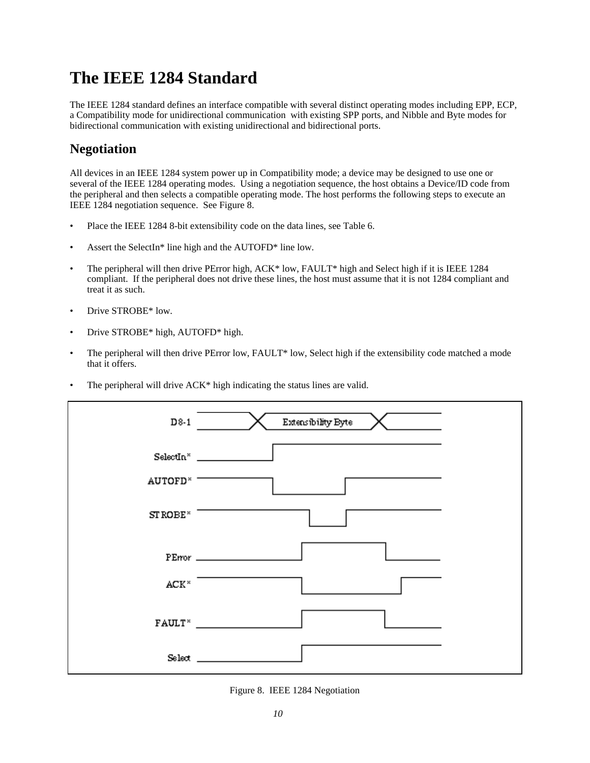### **The IEEE 1284 Standard**

The IEEE 1284 standard defines an interface compatible with several distinct operating modes including EPP, ECP, a Compatibility mode for unidirectional communication with existing SPP ports, and Nibble and Byte modes for bidirectional communication with existing unidirectional and bidirectional ports.

#### **Negotiation**

All devices in an IEEE 1284 system power up in Compatibility mode; a device may be designed to use one or several of the IEEE 1284 operating modes. Using a negotiation sequence, the host obtains a Device/ID code from the peripheral and then selects a compatible operating mode. The host performs the following steps to execute an IEEE 1284 negotiation sequence. See Figure 8.

- Place the IEEE 1284 8-bit extensibility code on the data lines, see Table 6.
- Assert the SelectIn\* line high and the AUTOFD\* line low.
- The peripheral will then drive PError high, ACK\* low, FAULT\* high and Select high if it is IEEE 1284 compliant. If the peripheral does not drive these lines, the host must assume that it is not 1284 compliant and treat it as such.
- Drive STROBE\* low.
- Drive STROBE\* high, AUTOFD\* high.
- The peripheral will then drive PError low, FAULT\* low, Select high if the extensibility code matched a mode that it offers.
- The peripheral will drive ACK\* high indicating the status lines are valid.

| D8-1                    | Extensibility Byte |
|-------------------------|--------------------|
| SelectIn <sup>x</sup>   |                    |
| AUTOFD <sup>*</sup>     |                    |
| STROBE <sup>*</sup>     |                    |
|                         | PError             |
| $\texttt{ACK}^{\times}$ |                    |
|                         | FAULT <sup>*</sup> |
|                         |                    |

Figure 8. IEEE 1284 Negotiation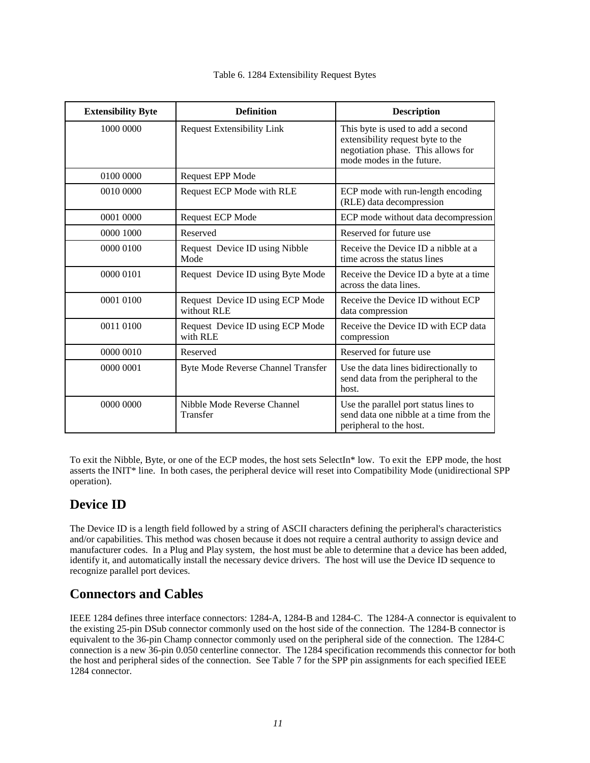| <b>Extensibility Byte</b> | <b>Definition</b>                               | <b>Description</b>                                                                                                                        |
|---------------------------|-------------------------------------------------|-------------------------------------------------------------------------------------------------------------------------------------------|
| 1000 0000                 | <b>Request Extensibility Link</b>               | This byte is used to add a second<br>extensibility request byte to the<br>negotiation phase. This allows for<br>mode modes in the future. |
| 0100 0000                 | <b>Request EPP Mode</b>                         |                                                                                                                                           |
| 0010 0000                 | Request ECP Mode with RLE                       | ECP mode with run-length encoding<br>(RLE) data decompression                                                                             |
| 0001 0000                 | <b>Request ECP Mode</b>                         | ECP mode without data decompression                                                                                                       |
| 0000 1000                 | Reserved                                        | Reserved for future use                                                                                                                   |
| 0000 0100                 | Request Device ID using Nibble<br>Mode          | Receive the Device ID a nibble at a<br>time across the status lines                                                                       |
| 0000 0101                 | Request Device ID using Byte Mode               | Receive the Device ID a byte at a time<br>across the data lines.                                                                          |
| 0001 0100                 | Request Device ID using ECP Mode<br>without RLE | Receive the Device ID without ECP<br>data compression                                                                                     |
| 0011 0100                 | Request Device ID using ECP Mode<br>with RLE    | Receive the Device ID with ECP data<br>compression                                                                                        |
| 0000 0010                 | Reserved                                        | Reserved for future use                                                                                                                   |
| 0000 0001                 | Byte Mode Reverse Channel Transfer              | Use the data lines bidirectionally to<br>send data from the peripheral to the<br>host.                                                    |
| 0000 0000                 | Nibble Mode Reverse Channel<br>Transfer         | Use the parallel port status lines to<br>send data one nibble at a time from the<br>peripheral to the host.                               |

#### Table 6. 1284 Extensibility Request Bytes

To exit the Nibble, Byte, or one of the ECP modes, the host sets SelectIn\* low. To exit the EPP mode, the host asserts the INIT\* line. In both cases, the peripheral device will reset into Compatibility Mode (unidirectional SPP operation).

#### **Device ID**

The Device ID is a length field followed by a string of ASCII characters defining the peripheral's characteristics and/or capabilities. This method was chosen because it does not require a central authority to assign device and manufacturer codes. In a Plug and Play system, the host must be able to determine that a device has been added, identify it, and automatically install the necessary device drivers. The host will use the Device ID sequence to recognize parallel port devices.

#### **Connectors and Cables**

IEEE 1284 defines three interface connectors: 1284-A, 1284-B and 1284-C. The 1284-A connector is equivalent to the existing 25-pin DSub connector commonly used on the host side of the connection. The 1284-B connector is equivalent to the 36-pin Champ connector commonly used on the peripheral side of the connection. The 1284-C connection is a new 36-pin 0.050 centerline connector. The 1284 specification recommends this connector for both the host and peripheral sides of the connection. See Table 7 for the SPP pin assignments for each specified IEEE 1284 connector.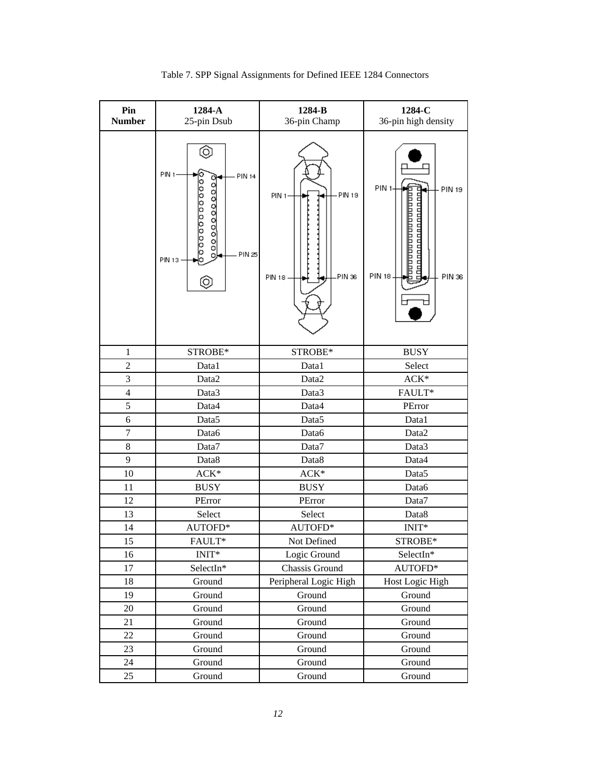| Pin<br><b>Number</b>    | 1284-A<br>25-pin Dsub                                                                        | 1284-B<br>36-pin Champ                           | 1284-C<br>36-pin high density                                                            |  |
|-------------------------|----------------------------------------------------------------------------------------------|--------------------------------------------------|------------------------------------------------------------------------------------------|--|
|                         | ٥,<br>PIN <sub>1</sub><br>PIN 14<br>00000000000<br>0000000000<br>PIN 25<br>o,<br>PIN 13<br>Q | PIN 19<br>PIN <sub>1</sub> -<br>PIN 36<br>PIN 18 | PIN <sub>1</sub><br>PIN 19<br>NOONAANANANANANAN<br>nnannannannannan<br>PIN 18.<br>PIN 36 |  |
| 1                       | STROBE*                                                                                      | STROBE*                                          | <b>BUSY</b>                                                                              |  |
| $\overline{c}$          | Data1                                                                                        | Data1                                            | Select                                                                                   |  |
| 3                       | Data2                                                                                        | Data <sub>2</sub>                                | ACK*                                                                                     |  |
| $\overline{\mathbf{4}}$ | Data3                                                                                        | Data3                                            | FAULT*                                                                                   |  |
| 5                       | Data4                                                                                        | Data4                                            | PError                                                                                   |  |
| 6                       | Data5                                                                                        | Data <sub>5</sub>                                | Data1                                                                                    |  |
| $\overline{7}$          | Data6                                                                                        | Data6                                            | Data2                                                                                    |  |
| 8                       | Data7                                                                                        | Data7                                            | Data3                                                                                    |  |
| 9                       | Data8                                                                                        | Data8                                            | Data4                                                                                    |  |
| 10                      | $ACK*$                                                                                       | ACK*                                             | Data <sub>5</sub>                                                                        |  |
| 11                      | <b>BUSY</b>                                                                                  | <b>BUSY</b>                                      | Data6                                                                                    |  |
| 12                      | PError                                                                                       | PError                                           | Data7                                                                                    |  |
| 13                      | Select                                                                                       | Select                                           | Data8                                                                                    |  |
| 14                      | AUTOFD*                                                                                      | AUTOFD*                                          | INIT*                                                                                    |  |
| 15                      | FAULT*                                                                                       | Not Defined                                      | STROBE*                                                                                  |  |
| 16                      | $INT*$                                                                                       | Logic Ground                                     | SelectIn*                                                                                |  |
| 17                      | SelectIn*                                                                                    | Chassis Ground                                   | AUTOFD*                                                                                  |  |
| 18                      | Ground                                                                                       | Peripheral Logic High                            | Host Logic High                                                                          |  |
| 19                      | Ground                                                                                       | Ground                                           | Ground                                                                                   |  |
| 20                      | Ground                                                                                       | Ground                                           | Ground                                                                                   |  |
| 21                      | Ground                                                                                       | Ground                                           | Ground                                                                                   |  |
| 22                      | Ground                                                                                       | Ground                                           | Ground                                                                                   |  |
| 23                      | Ground                                                                                       | Ground                                           | Ground                                                                                   |  |
| 24                      | Ground                                                                                       | Ground                                           | Ground                                                                                   |  |
| 25                      | Ground                                                                                       | Ground                                           | Ground                                                                                   |  |

Table 7. SPP Signal Assignments for Defined IEEE 1284 Connectors